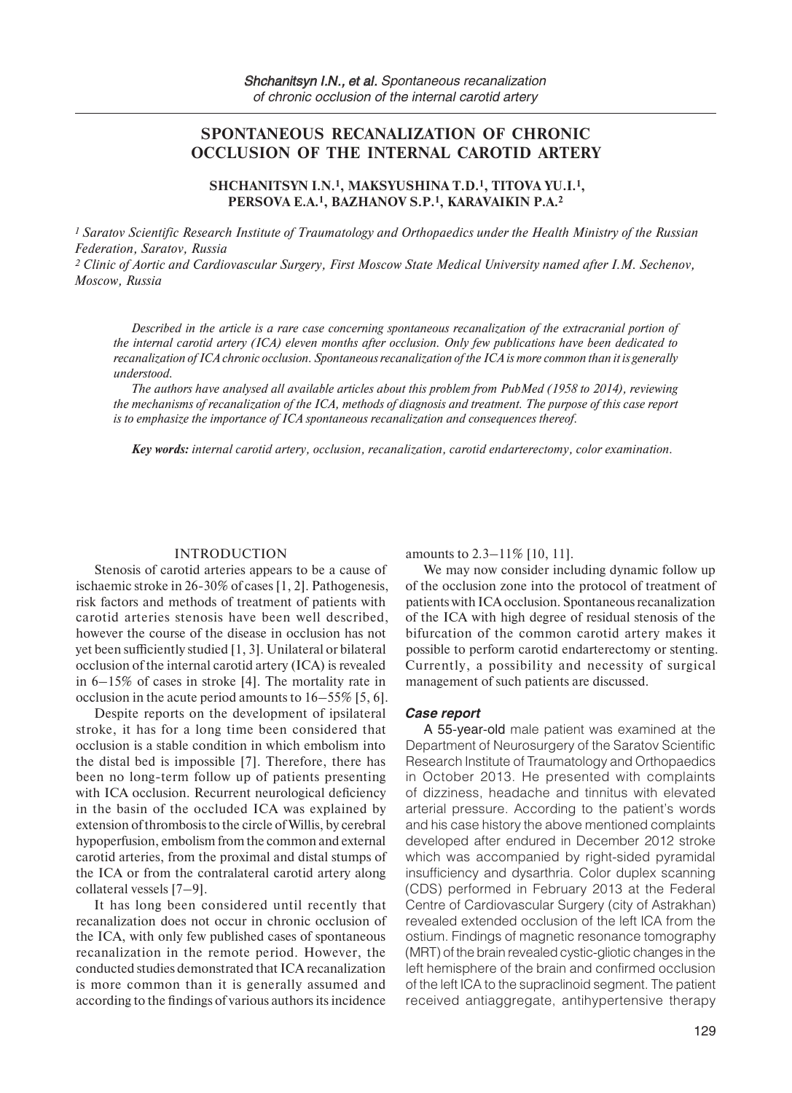# **SPONTANEOUS RECANALIZATION OF CHRONIC OCCLUSION OF THE INTERNAL CAROTID ARTERY**

# **SHCHANITSYN I.N.1, MAKSYUSHINA T.D.1, TITOVA YU.I.1, PERSOVA E.A.1, BAZHANOV S.P.1, KARAVAIKIN P.A.2**

*1 Saratov Scientific Research Institute of Traumatology and Orthopaedics under the Health Ministry of the Russian Federation, Saratov, Russia*

*2 Clinic of Aortic and Cardiovascular Surgery, First Moscow State Medical University named after I.M. Sechenov, Moscow, Russia* 

*Described in the article is a rare case concerning spontaneous recanalization of the extracranial portion of the internal carotid artery (ICA) eleven months after occlusion. Only few publications have been dedicated to recanalization of ICA chronic occlusion. Spontaneous recanalization of the ICA is more common than it is generally understood.*

*The authors have analysed all available articles about this problem from PubMed (1958 to 2014), reviewing the mechanisms of recanalization of the ICA, methods of diagnosis and treatment. The purpose of this case report is to emphasize the importance of ICA spontaneous recanalization and consequences thereof.*

*Key words: internal carotid artery, occlusion, recanalization, carotid endarterectomy, color examination.*

#### INTRODUCTION

Stenosis of carotid arteries appears to be a cause of ischaemic stroke in 26-30% of cases [1, 2]. Pathogenesis, risk factors and methods of treatment of patients with carotid arteries stenosis have been well described, however the course of the disease in occlusion has not yet been sufficiently studied [1, 3]. Unilateral or bilateral occlusion of the internal carotid artery (ICA) is revealed in 6–15% of cases in stroke [4]. The mortality rate in occlusion in the acute period amounts to 16–55% [5, 6].

Despite reports on the development of ipsilateral stroke, it has for a long time been considered that occlusion is a stable condition in which embolism into the distal bed is impossible [7]. Therefore, there has been no long-term follow up of patients presenting with ICA occlusion. Recurrent neurological deficiency in the basin of the occluded ICA was explained by extension of thrombosis to the circle of Willis, by cerebral hypoperfusion, embolism from the common and external carotid arteries, from the proximal and distal stumps of the ICA or from the contralateral carotid artery along collateral vessels [7–9].

It has long been considered until recently that recanalization does not occur in chronic occlusion of the ICA, with only few published cases of spontaneous recanalization in the remote period. However, the conducted studies demonstrated that ICA recanalization is more common than it is generally assumed and according to the findings of various authors its incidence

amounts to 2.3–11% [10, 11].

We may now consider including dynamic follow up of the occlusion zone into the protocol of treatment of patients with ICA occlusion. Spontaneous recanalization of the ICA with high degree of residual stenosis of the bifurcation of the common carotid artery makes it possible to perform carotid endarterectomy or stenting. Currently, a possibility and necessity of surgical management of such patients are discussed.

### *Case report*

A 55-year-old male patient was examined at the Department of Neurosurgery of the Saratov Scientific Research Institute of Traumatology and Orthopaedics in October 2013. He presented with complaints of dizziness, headache and tinnitus with elevated arterial pressure. According to the patient's words and his case history the above mentioned complaints developed after endured in December 2012 stroke which was accompanied by right-sided pyramidal insufficiency and dysarthria. Color duplex scanning (CDS) performed in February 2013 at the Federal Centre of Cardiovascular Surgery (city of Astrakhan) revealed extended occlusion of the left ICA from the ostium. Findings of magnetic resonance tomography (MRT) of the brain revealed cystic-gliotic changes in the left hemisphere of the brain and confirmed occlusion of the left ICA to the supraclinoid segment. The patient received antiaggregate, antihypertensive therapy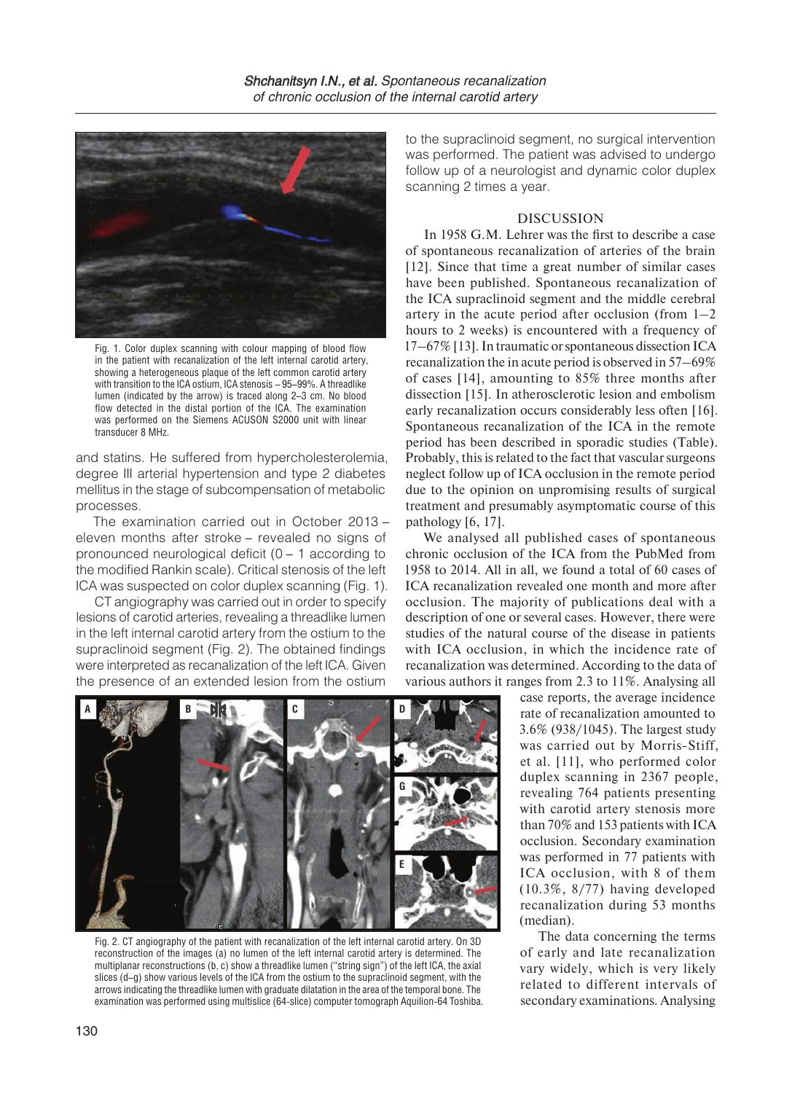

Fig. 1. Сolor duplex scanning with colour mapping of blood flow in the patient with recanalization of the left internal carotid artery, showing a heterogeneous plaque of the left common carotid artery with transition to the ICA ostium, ICA stenosis – 95–99%. A threadlike lumen (indicated by the arrow) is traced along 2–3 cm. No blood flow detected in the distal portion of the ICA. The examination was performed on the Siemens ACUSON S2000 unit with linear transducer 8 MHz.

and statins. He suffered from hypercholesterolemia, degree III arterial hypertension and type 2 diabetes mellitus in the stage of subcompensation of metabolic processes.

The examination carried out in October 2013 – eleven months after stroke – revealed no signs of pronounced neurological deficit (0 – 1 according to the modified Rankin scale). Critical stenosis of the left ICA was suspected on color duplex scanning (Fig. 1).

CT angiography was carried out in order to specify lesions of carotid arteries, revealing a threadlike lumen in the left internal carotid artery from the ostium to the supraclinoid segment (Fig. 2). The obtained findings were interpreted as recanalization of the left ICA. Given the presence of an extended lesion from the ostium to the supraclinoid segment, no surgical intervention was performed. The patient was advised to undergo follow up of a neurologist and dynamic color duplex scanning 2 times a year.

# **DISCUSSION**

In 1958 G.M. Lehrer was the first to describe a case of spontaneous recanalization of arteries of the brain [12]. Since that time a great number of similar cases have been published. Spontaneous recanalization of the ICA supraclinoid segment and the middle cerebral artery in the acute period after occlusion (from  $1-2$ ) hours to 2 weeks) is encountered with a frequency of 17–67% [13]. In traumatic or spontaneous dissection ICA recanalization the in acute period is observed in 57–69% of cases [14], amounting to 85% three months after dissection [15]. In atherosclerotic lesion and embolism early recanalization occurs considerably less often [16]. Spontaneous recanalization of the ICA in the remote period has been described in sporadic studies (Table). Probably, this is related to the fact that vascular surgeons neglect follow up of ICA occlusion in the remote period due to the opinion on unpromising results of surgical treatment and presumably asymptomatic course of this pathology [6, 17].

We analysed all published cases of spontaneous chronic occlusion of the ICA from the PubMed from 1958 to 2014. All in all, we found a total of 60 cases of ICA recanalization revealed one month and more after occlusion. The majority of publications deal with a description of one or several cases. However, there were studies of the natural course of the disease in patients with ICA occlusion, in which the incidence rate of recanalization was determined. According to the data of various authors it ranges from 2.3 to 11%. Analysing all

> case reports, the average incidence rate of recanalization amounted to 3.6% (938/1045). The largest study was carried out by Morris-Stiff, et al. [11], who performed color duplex scanning in 2367 people, revealing 764 patients presenting with carotid artery stenosis more than 70% and 153 patients with ICA occlusion. Secondary examination was performed in 77 patients with ICA occlusion, with 8 of them (10.3%, 8/77) having developed recanalization during 53 months (median).

> The data concerning the terms of early and late recanalization vary widely, which is very likely related to different intervals of secondary examinations. Analysing



Fig. 2. CT angiography of the patient with recanalization of the left internal carotid artery. On 3D reconstruction of the images (a) no lumen of the left internal carotid artery is determined. The multiplanar reconstructions (b, c) show a threadlike lumen ("string sign") of the left ICA, the axial slices (d–g) show various levels of the ICA from the ostium to the supraclinoid segment, with the arrows indicating the threadlike lumen with graduate dilatation in the area of the temporal bone. The examination was performed using multislice (64-slice) computer tomograph Aquilion-64 Toshiba.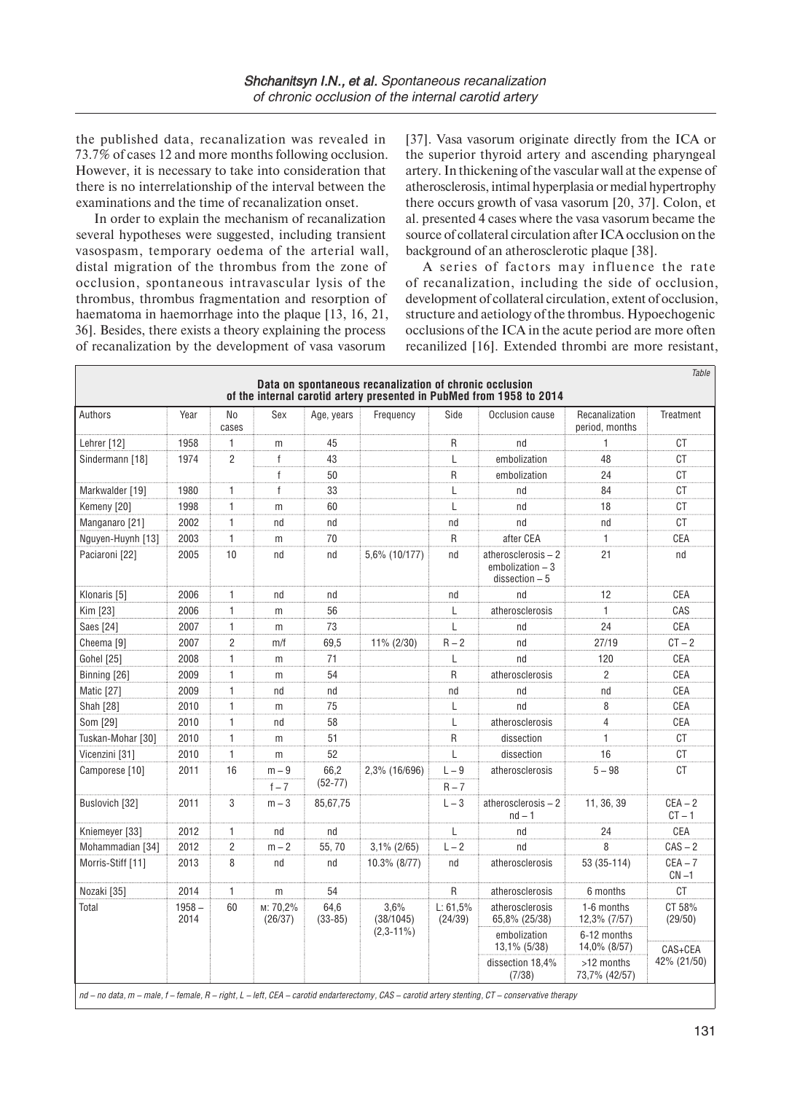the published data, recanalization was revealed in 73.7% of cases 12 and more months following occlusion. However, it is necessary to take into consideration that there is no interrelationship of the interval between the examinations and the time of recanalization onset.

In order to explain the mechanism of recanalization several hypotheses were suggested, including transient vasospasm, temporary oedema of the arterial wall, distal migration of the thrombus from the zone of occlusion, spontaneous intravascular lysis of the thrombus, thrombus fragmentation and resorption of haematoma in haemorrhage into the plaque [13, 16, 21, 36]. Besides, there exists a theory explaining the process of recanalization by the development of vasa vasorum

 $\Gamma$ 

[37]. Vasa vasorum originate directly from the ICA or the superior thyroid artery and ascending pharyngeal artery. In thickening of the vascular wall at the expense of atherosclerosis, intimal hyperplasia or medial hypertrophy there occurs growth of vasa vasorum [20, 37]. Colon, et al. presented 4 cases where the vasa vasorum became the source of collateral circulation after ICA occlusion on the background of an atherosclerotic plaque [38].

A series of factors may influence the rate of recanalization, including the side of occlusion, development of collateral circulation, extent of occlusion, structure and aetiology of the thrombus. Hypoechogenic occlusions of the ICA in the acute period are more often recanilized [16]. Extended thrombi are more resistant,

| Authors               | Year             | No<br>cases    | Sex                 | Age, years        | Frequency                         | Side                | Occlusion cause                                           | Recanalization<br>period, months | Treatment              |
|-----------------------|------------------|----------------|---------------------|-------------------|-----------------------------------|---------------------|-----------------------------------------------------------|----------------------------------|------------------------|
| Lehrer [12]           | 1958             | $\mathbf{1}$   | m                   | 45                |                                   | R                   | nd                                                        | $\mathbf{1}$                     | CT                     |
| Sindermann [18]       | 1974             | $\overline{2}$ | $\mathsf{f}$        | 43                |                                   | L                   | embolization                                              | 48                               | <b>CT</b>              |
|                       |                  |                | $\mathsf{f}$        | 50                |                                   | R                   | embolization                                              | 24                               | CT                     |
| Markwalder [19]       | 1980             | $\mathbf{1}$   | f                   | 33                |                                   | L                   | nd                                                        | 84                               | СT                     |
| Kemeny [20]           | 1998             | 1              | m                   | 60                |                                   | L                   | nd                                                        | 18                               | CT                     |
| Manganaro [21]        | 2002             | 1              | nd                  | nd                |                                   | nd                  | nd                                                        | nd                               | СT                     |
| Nguyen-Huynh [13]     | 2003             | $\mathbf{1}$   | m                   | 70                |                                   | R                   | after CEA                                                 | 1                                | CEA                    |
| Paciaroni [22]        | 2005             | 10             | nd                  | nd                | 5,6% (10/177)                     | nd                  | atherosclerosis-2<br>embolization - 3<br>$dissection - 5$ | 21                               | nd                     |
| Klonaris [5]          | 2006             | 1              | nd                  | nd                |                                   | nd                  | nd                                                        | 12                               | CEA                    |
| Kim [23]              | 2006             | $\mathbf{1}$   | m                   | 56                |                                   | L                   | atherosclerosis                                           | $\mathbf{1}$                     | CAS                    |
| Saes [24]             | 2007             | 1              | m                   | 73                |                                   | L                   | nd                                                        | 24                               | CEA                    |
| Cheema <sub>[9]</sub> | 2007             | $\overline{c}$ | m/f                 | 69,5              | 11% (2/30)                        | $R - 2$             | nd                                                        | 27/19                            | $CT - 2$               |
| <b>Gohel [25]</b>     | 2008             | 1              | m                   | 71                |                                   | L                   | nd                                                        | 120                              | CEA                    |
| Binning [26]          | 2009             | $\mathbf{1}$   | m                   | 54                |                                   | R                   | atherosclerosis                                           | $\overline{2}$                   | CEA                    |
| Matic [27]            | 2009             | 1              | nd                  | nd                |                                   | nd                  | nd                                                        | nd                               | CEA                    |
| Shah [28]             | 2010             | 1              | m                   | 75                |                                   | L                   | nd                                                        | 8                                | CEA                    |
| Som [29]              | 2010             | 1              | nd                  | 58                |                                   | L                   | atherosclerosis                                           | 4                                | CEA                    |
| Tuskan-Mohar [30]     | 2010             | $\mathbf{1}$   | m                   | 51                |                                   | R                   | dissection                                                | 1                                | <b>CT</b>              |
| Vicenzini [31]        | 2010             | $\mathbf{1}$   | m                   | 52                |                                   | L                   | dissection                                                | 16                               | <b>CT</b>              |
| Camporese [10]        | 2011             | 16             | $m - 9$             | 66,2<br>$(52-77)$ | 2,3% (16/696)                     | $L - 9$             | atherosclerosis                                           | $5 - 98$                         | <b>CT</b>              |
|                       |                  |                | $f - 7$             |                   |                                   | $R - 7$             |                                                           |                                  |                        |
| Buslovich [32]        | 2011             | 3              | $m-3$               | 85,67,75          |                                   | $L-3$               | atherosclerosis-2<br>$nd - 1$                             | 11, 36, 39                       | $CEA - 2$<br>$CT - 1$  |
| Kniemeyer [33]        | 2012             | 1              | nd                  | nd                |                                   | L                   | nd                                                        | 24                               | CEA                    |
| Mohammadian [34]      | 2012             | $\overline{2}$ | $m-2$               | 55,70             | $3,1\%$ (2/65)                    | $L - 2$             | nd                                                        | 8                                | $CAS - 2$              |
| Morris-Stiff [11]     | 2013             | 8              | nd                  | nd                | 10.3% (8/77)                      | nd                  | atherosclerosis                                           | 53 (35-114)                      | $CEA - 7$<br>$CN -1$   |
| Nozaki [35]           | 2014             | 1              | m                   | 54                |                                   | R                   | atherosclerosis                                           | 6 months                         | CT                     |
| Total                 | $1958 -$<br>2014 | 60             | м: 70.2%<br>(26/37) | 64.6<br>$(33-85)$ | 3.6%<br>(38/1045)<br>$(2,3-11\%)$ | L: 61.5%<br>(24/39) | atherosclerosis<br>65,8% (25/38)                          | 1-6 months<br>12,3% (7/57)       | CT 58%<br>(29/50)      |
|                       |                  |                |                     |                   |                                   |                     | embolization<br>13,1% (5/38)                              | 6-12 months<br>14,0% (8/57)      | CAS+CEA<br>42% (21/50) |
|                       |                  |                |                     |                   |                                   |                     | dissection 18,4%<br>(7/38)                                | >12 months<br>73,7% (42/57)      |                        |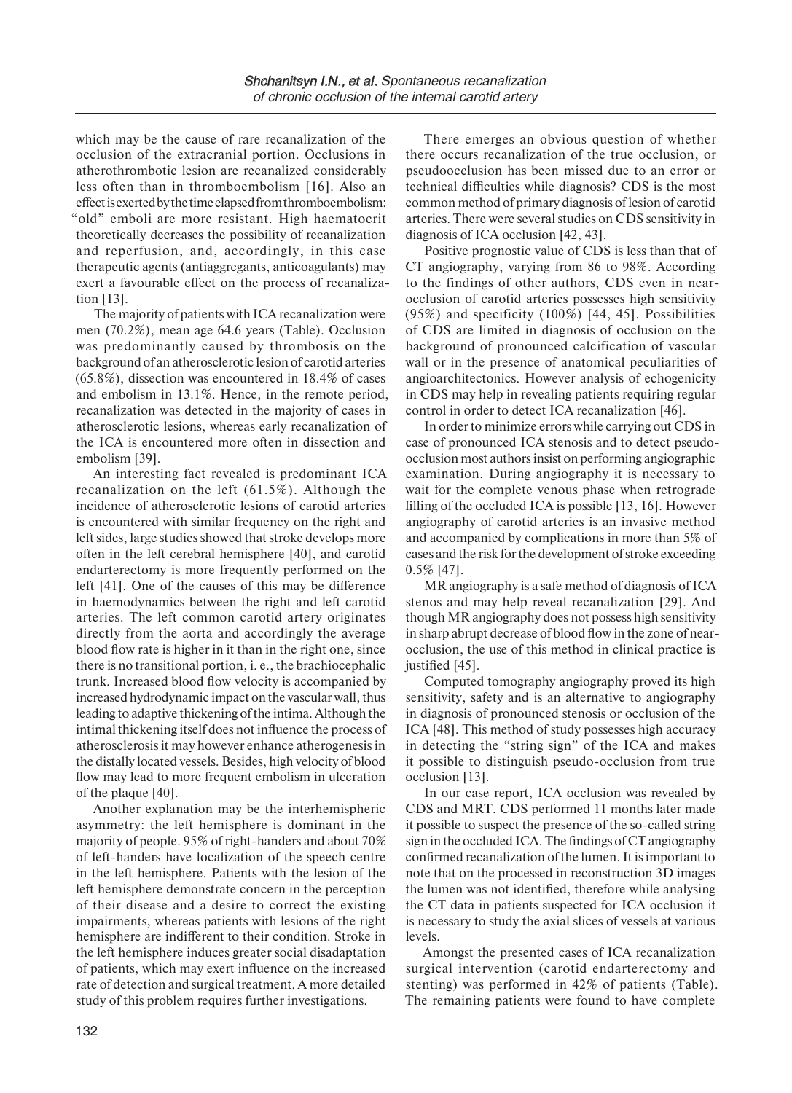which may be the cause of rare recanalization of the occlusion of the extracranial portion. Occlusions in atherothrombotic lesion are recanalized considerably less often than in thromboembolism [16]. Also an effect is exerted by the time elapsed from thromboembolism: "old" emboli are more resistant. High haematocrit theoretically decreases the possibility of recanalization and reperfusion, and, accordingly, in this case therapeutic agents (antiaggregants, anticoagulants) may exert a favourable effect on the process of recanalization [13].

The majority of patients with ICA recanalization were men (70.2%), mean age 64.6 years (Table). Occlusion was predominantly caused by thrombosis on the background of an atherosclerotic lesion of carotid arteries (65.8%), dissection was encountered in 18.4% of cases and embolism in 13.1%. Hence, in the remote period, recanalization was detected in the majority of cases in atherosclerotic lesions, whereas early recanalization of the ICA is encountered more often in dissection and embolism [39].

An interesting fact revealed is predominant ICA recanalization on the left (61.5%). Although the incidence of atherosclerotic lesions of carotid arteries is encountered with similar frequency on the right and left sides, large studies showed that stroke develops more often in the left cerebral hemisphere [40], and carotid endarterectomy is more frequently performed on the left [41]. One of the causes of this may be difference in haemodynamics between the right and left carotid arteries. The left common carotid artery originates directly from the aorta and accordingly the average blood flow rate is higher in it than in the right one, since there is no transitional portion, i. e., the brachiocephalic trunk. Increased blood flow velocity is accompanied by increased hydrodynamic impact on the vascular wall, thus leading to adaptive thickening of the intima. Although the intimal thickening itself does not influence the process of atherosclerosis it may however enhance atherogenesis in the distally located vessels. Besides, high velocity of blood flow may lead to more frequent embolism in ulceration of the plaque [40].

Another explanation may be the interhemispheric asymmetry: the left hemisphere is dominant in the majority of people. 95% of right-handers and about 70% of left-handers have localization of the speech centre in the left hemisphere. Patients with the lesion of the left hemisphere demonstrate concern in the perception of their disease and a desire to correct the existing impairments, whereas patients with lesions of the right hemisphere are indifferent to their condition. Stroke in the left hemisphere induces greater social disadaptation of patients, which may exert influence on the increased rate of detection and surgical treatment. A more detailed study of this problem requires further investigations.

There emerges an obvious question of whether there occurs recanalization of the true occlusion, or pseudoocclusion has been missed due to an error or technical difficulties while diagnosis? CDS is the most common method of primary diagnosis of lesion of carotid arteries. There were several studies on CDS sensitivity in diagnosis of ICA occlusion [42, 43].

Positive prognostic value of CDS is less than that of CT angiography, varying from 86 to 98%. According to the findings of other authors, CDS even in nearocclusion of carotid arteries possesses high sensitivity (95%) and specificity (100%) [44, 45]. Possibilities of CDS are limited in diagnosis of occlusion on the background of pronounced calcification of vascular wall or in the presence of anatomical peculiarities of angioarchitectonics. However analysis of echogenicity in CDS may help in revealing patients requiring regular control in order to detect ICA recanalization [46].

In order to minimize errors while carrying out CDS in case of pronounced ICA stenosis and to detect pseudoocclusion most authors insist on performing angiographic examination. During angiography it is necessary to wait for the complete venous phase when retrograde filling of the occluded ICA is possible [13, 16]. However angiography of carotid arteries is an invasive method and accompanied by complications in more than 5% of cases and the risk for the development of stroke exceeding 0.5% [47].

MR angiography is a safe method of diagnosis of ICA stenos and may help reveal recanalization [29]. And though MR angiography does not possess high sensitivity in sharp abrupt decrease of blood flow in the zone of nearocclusion, the use of this method in clinical practice is justified [45].

Computed tomography angiography proved its high sensitivity, safety and is an alternative to angiography in diagnosis of pronounced stenosis or occlusion of the ICA [48]. This method of study possesses high accuracy in detecting the "string sign" of the ICA and makes it possible to distinguish pseudo-occlusion from true occlusion [13].

In our case report, ICA occlusion was revealed by CDS and MRT. CDS performed 11 months later made it possible to suspect the presence of the so-called string sign in the occluded ICA. The findings of CT angiography confirmed recanalization of the lumen. It is important to note that on the processed in reconstruction 3D images the lumen was not identified, therefore while analysing the CT data in patients suspected for ICA occlusion it is necessary to study the axial slices of vessels at various levels.

Amongst the presented cases of ICA recanalization surgical intervention (carotid endarterectomy and stenting) was performed in 42% of patients (Table). The remaining patients were found to have complete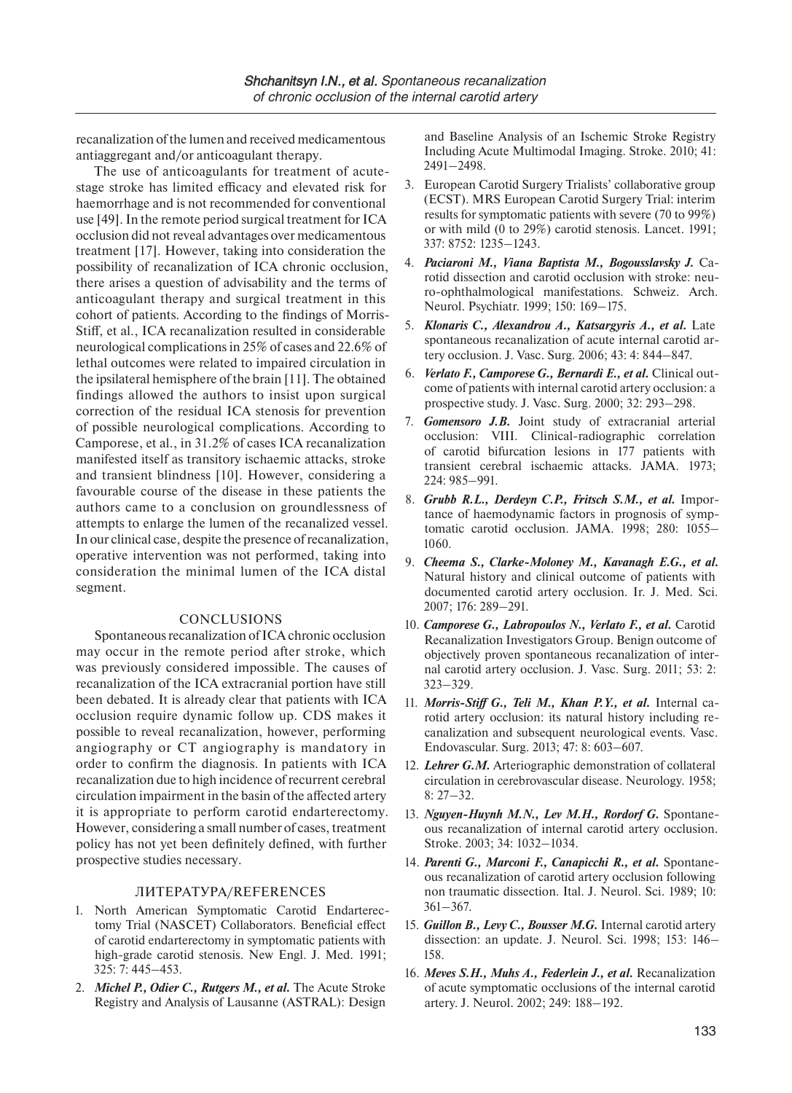recanalization of the lumen and received medicamentous antiaggregant and/or anticoagulant therapy.

The use of anticoagulants for treatment of acutestage stroke has limited efficacy and elevated risk for haemorrhage and is not recommended for conventional use [49]. In the remote period surgical treatment for ICA occlusion did not reveal advantages over medicamentous treatment [17]. However, taking into consideration the possibility of recanalization of ICA chronic occlusion, there arises a question of advisability and the terms of anticoagulant therapy and surgical treatment in this cohort of patients. According to the findings of Morris-Stiff, et al., ICA recanalization resulted in considerable neurological complications in 25% of cases and 22.6% of lethal outcomes were related to impaired circulation in the ipsilateral hemisphere of the brain [11]. The obtained findings allowed the authors to insist upon surgical correction of the residual ICA stenosis for prevention of possible neurological complications. According to Camporese, et al., in 31.2% of cases ICA recanalization manifested itself as transitory ischaemic attacks, stroke and transient blindness [10]. However, considering a favourable course of the disease in these patients the authors came to a conclusion on groundlessness of attempts to enlarge the lumen of the recanalized vessel. In our clinical case, despite the presence of recanalization, operative intervention was not performed, taking into consideration the minimal lumen of the ICA distal segment.

### CONCLUSIONS

Spontaneous recanalization of ICA chronic occlusion may occur in the remote period after stroke, which was previously considered impossible. The causes of recanalization of the ICA extracranial portion have still been debated. It is already clear that patients with ICA occlusion require dynamic follow up. CDS makes it possible to reveal recanalization, however, performing angiography or CT angiography is mandatory in order to confirm the diagnosis. In patients with ICA recanalization due to high incidence of recurrent cerebral circulation impairment in the basin of the affected artery it is appropriate to perform carotid endarterectomy. However, considering a small number of cases, treatment policy has not yet been definitely defined, with further prospective studies necessary.

### ЛИТЕРАТУРА/REFERENCES

- 1. North American Symptomatic Carotid Endarterectomy Trial (NASCET) Collaborators. Beneficial effect of carotid endarterectomy in symptomatic patients with high-grade carotid stenosis. New Engl. J. Med. 1991; 325: 7: 445–453.
- 2. *Michel P., Odier C., Rutgers M., et al.* The Acute Stroke Registry and Analysis of Lausanne (ASTRAL): Design

and Baseline Analysis of an Ischemic Stroke Registry Including Acute Multimodal Imaging. Stroke. 2010; 41: 2491–2498.

- 3. European Carotid Surgery Trialists' collaborative group (ECST). MRS European Carotid Surgery Trial: interim results for symptomatic patients with severe (70 to 99%) or with mild (0 to 29%) carotid stenosis. Lancet. 1991; 337: 8752: 1235–1243.
- 4. *Paciaroni M., Viana Baptista M., Bogousslavsky J.* Carotid dissection and carotid occlusion with stroke: neuro-ophthalmological manifestations. Schweiz. Arch. Neurol. Psychiatr. 1999; 150: 169–175.
- 5. *Klonaris C., Alexandrou A., Katsargyris A., et al.* Late spontaneous recanalization of acute internal carotid artery occlusion. J. Vasc. Surg. 2006; 43: 4: 844–847.
- 6. *Verlato F., Camporese G., Bernardi E., et al.* Clinical outcome of patients with internal carotid artery occlusion: a prospective study. J. Vasc. Surg. 2000; 32: 293–298.
- 7. *Gomensoro J.B.* Joint study of extracranial arterial occlusion: VIII. Clinical-radiographic correlation of carotid bifurcation lesions in 177 patients with transient cerebral ischaemic attacks. JAMA. 1973; 224: 985–991.
- 8. *Grubb R.L., Derdeyn C.P., Fritsch S.M., et al.* Importance of haemodynamic factors in prognosis of symptomatic carotid occlusion. JAMA. 1998; 280: 1055– 1060.
- 9. *Cheema S., Clarke-Moloney M., Kavanagh E.G., et al.*  Natural history and clinical outcome of patients with documented carotid artery occlusion. Ir. J. Med. Sci. 2007; 176: 289–291.
- 10. *Camporese G., Labropoulos N., Verlato F., et al.* Carotid Recanalization Investigators Group. Benign outcome of objectively proven spontaneous recanalization of internal carotid artery occlusion. J. Vasc. Surg. 2011; 53: 2: 323–329.
- 11. *Morris-Stiff G., Teli M., Khan P.Y., et al.* Internal carotid artery occlusion: its natural history including recanalization and subsequent neurological events. Vasc. Endovascular. Surg. 2013; 47: 8: 603–607.
- 12. *Lehrer G.M.* Arteriographic demonstration of collateral circulation in cerebrovascular disease. Neurology. 1958; 8: 27–32.
- 13. *Nguyen-Huynh M.N., Lev M.H., Rordorf G.* Spontaneous recanalization of internal carotid artery occlusion. Stroke. 2003; 34: 1032–1034.
- 14. *Parenti G., Marconi F., Canapicchi R., et al.* Spontaneous recanalization of carotid artery occlusion following non traumatic dissection. Ital. J. Neurol. Sci. 1989; 10: 361–367.
- 15. *Guillon B., Levy C., Bousser M.G.* Internal carotid artery dissection: an update. J. Neurol. Sci. 1998; 153: 146– 158.
- 16. *Meves S.H., Muhs A., Federlein J., et al.* Recanalization of acute symptomatic occlusions of the internal carotid artery. J. Neurol. 2002; 249: 188–192.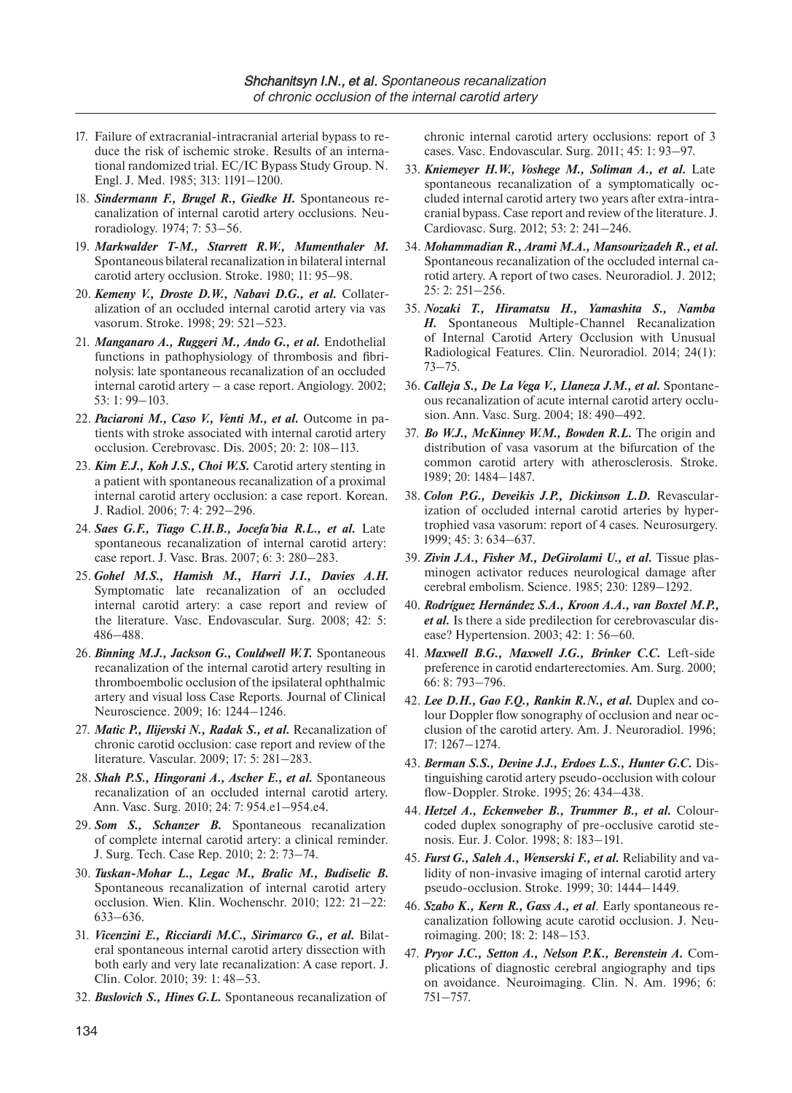- 17. Failure of extracranial-intracranial arterial bypass to reduce the risk of ischemic stroke. Results of an international randomized trial. EC/IC Bypass Study Group. N. Engl. J. Med. 1985; 313: 1191–1200.
- 18. *Sindermann F., Brugel R., Giedke H.* Spontaneous recanalization of internal carotid artery occlusions. Neuroradiology. 1974; 7: 53–56.
- 19. *Markwalder T-M., Starrett R.W., Mumenthaler M.*  Spontaneous bilateral recanalization in bilateral internal carotid artery occlusion. Stroke. 1980; 11: 95–98.
- 20. *Kemeny V., Droste D.W., Nabavi D.G., et al.* Collateralization of an occluded internal carotid artery via vas vasorum. Stroke. 1998; 29: 521–523.
- 21. *Manganaro A., Ruggeri M., Ando G., et al.* Endothelial functions in pathophysiology of thrombosis and fibrinolysis: late spontaneous recanalization of an occluded internal carotid artery – a case report. Angiology. 2002; 53: 1: 99–103.
- 22. *Paciaroni M., Caso V., Venti M., et al.* Outcome in patients with stroke associated with internal carotid artery occlusion. Cerebrovasc. Dis. 2005; 20: 2: 108–113.
- 23. *Kim E.J., Koh J.S., Choi W.S.* Carotid artery stenting in a patient with spontaneous recanalization of a proximal internal carotid artery occlusion: a case report. Korean. J. Radiol. 2006; 7: 4: 292–296.
- 24. Saes G.F., Tiago C.H.B., Jocefa'bia R.L., et al. Late spontaneous recanalization of internal carotid artery: case report. J. Vasc. Bras. 2007; 6: 3: 280–283.
- 25. *Gohel M.S., Hamish M., Harri J.I., Davies A.H.*  Symptomatic late recanalization of an occluded internal carotid artery: a case report and review of the literature. Vasc. Endovascular. Surg. 2008; 42: 5: 486–488.
- 26. *Binning M.J., Jackson G., Couldwell W.T.* Spontaneous recanalization of the internal carotid artery resulting in thromboembolic occlusion of the ipsilateral ophthalmic artery and visual loss Case Reports. Journal of Clinical Neuroscience. 2009; 16: 1244–1246.
- 27. *Matic P., Ilijevski N., Radak S., et al.* Recanalization of chronic carotid occlusion: case report and review of the literature. Vascular. 2009; 17: 5: 281–283.
- 28. *Shah P.S., Hingorani A., Ascher E., et al.* Spontaneous recanalization of an occluded internal carotid artery. Ann. Vasc. Surg. 2010; 24: 7: 954.e1–954.е4.
- 29. *Som S., Schanzer B.* Spontaneous recanalization of complete internal carotid artery: a clinical reminder. J. Surg. Tech. Case Rep. 2010; 2: 2: 73–74.
- 30. *Tuskan-Mohar L., Legac M., Bralic M., Budiselic B.*  Spontaneous recanalization of internal carotid artery occlusion. Wien. Klin. Wochenschr. 2010; 122: 21–22: 633–636.
- 31. *Vicenzini E., Ricciardi M.C., Sirimarco G., et al.* Bilateral spontaneous internal carotid artery dissection with both early and very late recanalization: A case report. J. Clin. Color. 2010; 39: 1: 48–53.
- 32. *Buslovich S., Hines G.L.* Spontaneous recanalization of

chronic internal carotid artery occlusions: report of 3 cases. Vasc. Endovascular. Surg. 2011; 45: 1: 93–97.

- 33. *Kniemeyer H.W., Voshege M., Soliman A., et al.* Late spontaneous recanalization of a symptomatically occluded internal carotid artery two years after extra-intracranial bypass. Case report and review of the literature. J. Cardiovasc. Surg. 2012; 53: 2: 241–246.
- 34. *Mohammadian R., Arami M.A., Mansourizadeh R., et al.*  Spontaneous recanalization of the occluded internal carotid artery. A report of two cases. Neuroradiol. J. 2012; 25: 2: 251–256.
- 35. *Nozaki T., Hiramatsu H., Yamashita S., Namba H.* Spontaneous Multiple-Channel Recanalization of Internal Carotid Artery Occlusion with Unusual Radiological Features. Clin. Neuroradiol. 2014; 24(1): 73–75.
- 36. *Calleja S., De La Vega V., Llaneza J.M., et al.* Spontaneous recanalization of acute internal carotid artery occlusion. Ann. Vasc. Surg. 2004; 18: 490–492.
- 37. *Bo W.J., McKinney W.M., Bowden R.L.* The origin and distribution of vasa vasorum at the bifurcation of the common carotid artery with atherosclerosis. Stroke. 1989; 20: 1484–1487.
- 38. *Colon P.G., Deveikis J.P., Dickinson L.D.* Revascularization of occluded internal carotid arteries by hypertrophied vasa vasorum: report of 4 cases. Neurosurgery. 1999; 45: 3: 634–637.
- 39. Zivin J.A., Fisher M., DeGirolami U., et al. Tissue plasminogen activator reduces neurological damage after cerebral embolism. Science. 1985; 230: 1289–1292.
- 40. *Rodríguez Hernández S.A., Kroon A.A., van Boxtel M.P., et al.* Is there a side predilection for cerebrovascular disease? Hypertension. 2003; 42: 1: 56–60.
- 41. *Maxwell B.G., Maxwell J.G., Brinker C.C.* Left-side preference in carotid endarterectomies. Am. Surg. 2000; 66: 8: 793–796.
- 42. *Lee D.H., Gao F.Q., Rankin R.N., et al.* Duplex and colour Doppler flow sonography of occlusion and near occlusion of the carotid artery. Am. J. Neuroradiol. 1996; 17: 1267–1274.
- 43. *Berman S.S., Devine J.J., Erdoes L.S., Hunter G.C.* Distinguishing carotid artery pseudo-occlusion with colour flow-Doppler. Stroke. 1995; 26: 434–438.
- 44. *Hetzel A., Eckenweber B., Trummer B., et al.* Colourcoded duplex sonography of pre-occlusive carotid stenosis. Eur. J. Color. 1998; 8: 183–191.
- 45. *Furst G., Saleh A., Wenserski F., et al.* Reliability and validity of non-invasive imaging of internal carotid artery pseudo-occlusion. Stroke. 1999; 30: 1444–1449.
- 46. *Szabo K., Kern R., Gass A., et al*. Early spontaneous recanalization following acute carotid occlusion. J. Neuroimaging. 200; 18: 2: 148–153.
- 47. *Pryor J.C., Setton A., Nelson P.K., Berenstein A.* Complications of diagnostic cerebral angiography and tips on avoidance. Neuroimaging. Clin. N. Am. 1996; 6: 751–757.